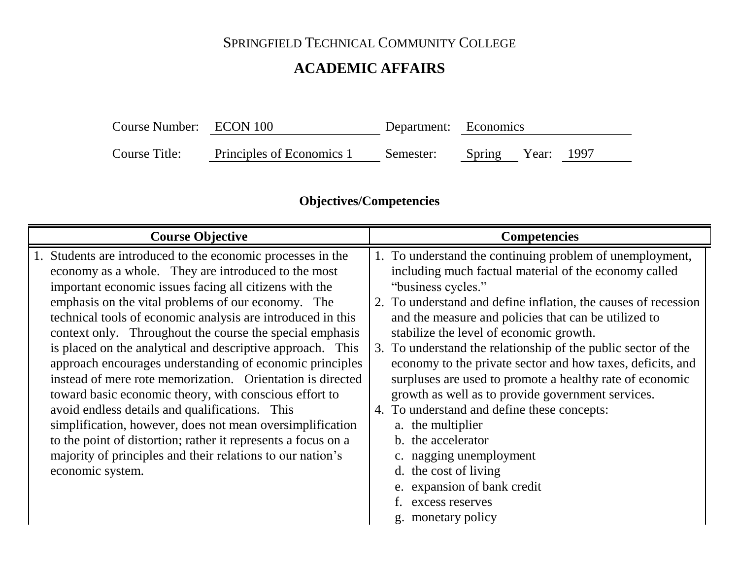## SPRINGFIELD TECHNICAL COMMUNITY COLLEGE

## **ACADEMIC AFFAIRS**

| Course Number: ECON 100 |                           | Department: Economics |        |            |  |
|-------------------------|---------------------------|-----------------------|--------|------------|--|
| Course Title:           | Principles of Economics 1 | Semester:             | Spring | Year: 1997 |  |

## **Objectives/Competencies**

| <b>Course Objective</b>                                                                                                                                                                                                                                                                                                                                                                                                                                                                                                                                                                                                                                                                                                                                                                                                                                                           | <b>Competencies</b>                                                                                                                                                                                                                                                                                                                                                                                                                                                                                                                                                                                                                                                                                                                                                                |  |  |
|-----------------------------------------------------------------------------------------------------------------------------------------------------------------------------------------------------------------------------------------------------------------------------------------------------------------------------------------------------------------------------------------------------------------------------------------------------------------------------------------------------------------------------------------------------------------------------------------------------------------------------------------------------------------------------------------------------------------------------------------------------------------------------------------------------------------------------------------------------------------------------------|------------------------------------------------------------------------------------------------------------------------------------------------------------------------------------------------------------------------------------------------------------------------------------------------------------------------------------------------------------------------------------------------------------------------------------------------------------------------------------------------------------------------------------------------------------------------------------------------------------------------------------------------------------------------------------------------------------------------------------------------------------------------------------|--|--|
| 1. Students are introduced to the economic processes in the<br>economy as a whole. They are introduced to the most<br>important economic issues facing all citizens with the<br>emphasis on the vital problems of our economy. The<br>technical tools of economic analysis are introduced in this<br>context only. Throughout the course the special emphasis<br>is placed on the analytical and descriptive approach. This<br>approach encourages understanding of economic principles<br>instead of mere rote memorization. Orientation is directed<br>toward basic economic theory, with conscious effort to<br>avoid endless details and qualifications. This<br>simplification, however, does not mean oversimplification<br>to the point of distortion; rather it represents a focus on a<br>majority of principles and their relations to our nation's<br>economic system. | 1. To understand the continuing problem of unemployment,<br>including much factual material of the economy called<br>"business cycles."<br>2. To understand and define inflation, the causes of recession<br>and the measure and policies that can be utilized to<br>stabilize the level of economic growth.<br>3. To understand the relationship of the public sector of the<br>economy to the private sector and how taxes, deficits, and<br>surpluses are used to promote a healthy rate of economic<br>growth as well as to provide government services.<br>4. To understand and define these concepts:<br>a. the multiplier<br>b. the accelerator<br>c. nagging unemployment<br>d. the cost of living<br>e. expansion of bank credit<br>excess reserves<br>g. monetary policy |  |  |